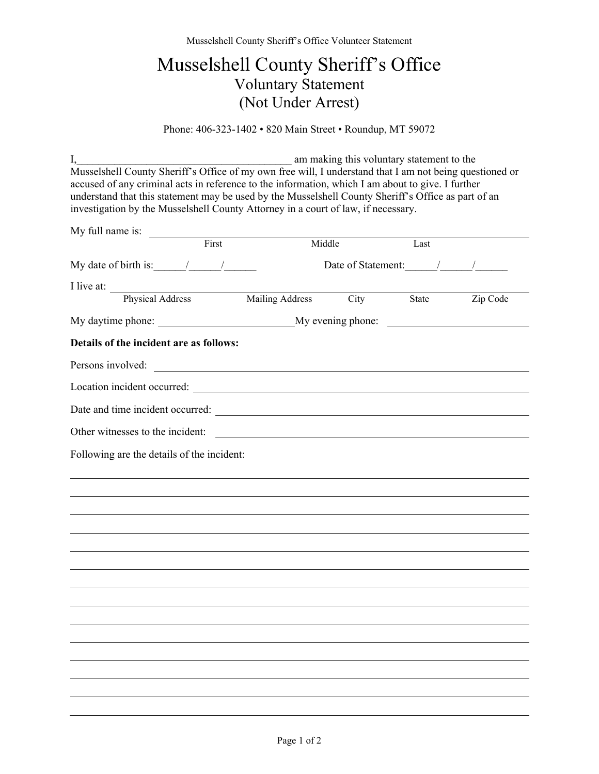Musselshell County Sheriff's Office Volunteer Statement

## Musselshell County Sheriff's Office Voluntary Statement (Not Under Arrest)

Phone: 406-323-1402 • 820 Main Street • Roundup, MT 59072

I, am making this voluntary statement to the Musselshell County Sheriff's Office of my own free will, I understand that I am not being questioned or accused of any criminal acts in reference to the information, which I am about to give. I further understand that this statement may be used by the Musselshell County Sheriff's Office as part of an investigation by the Musselshell County Attorney in a court of law, if necessary. My full name is: First Middle Last My date of birth is:  $\frac{1}{2}$  /  $\frac{1}{2}$  Date of Statement:  $\frac{1}{2}$  /  $\frac{1}{2}$ I live at: \_ Physical Address Mailing Address City State Zip Code My daytime phone: My evening phone:

## **Details of the incident are as follows:**

Persons involved:

Location incident occurred:

Date and time incident occurred:

Other witnesses to the incident:

Following are the details of the incident: